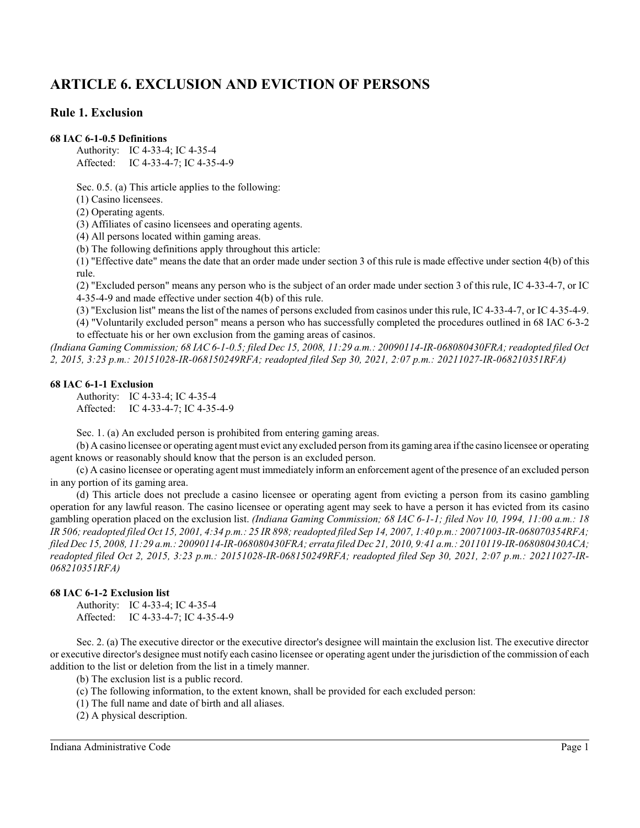# **ARTICLE 6. EXCLUSION AND EVICTION OF PERSONS**

# **Rule 1. Exclusion**

### **68 IAC 6-1-0.5 Definitions**

Authority: IC 4-33-4; IC 4-35-4 Affected: IC 4-33-4-7; IC 4-35-4-9

Sec. 0.5. (a) This article applies to the following:

(1) Casino licensees.

(2) Operating agents.

(3) Affiliates of casino licensees and operating agents.

(4) All persons located within gaming areas.

(b) The following definitions apply throughout this article:

(1) "Effective date" means the date that an order made under section 3 of this rule is made effective under section 4(b) of this rule.

(2) "Excluded person" means any person who is the subject of an order made under section 3 of this rule, IC 4-33-4-7, or IC 4-35-4-9 and made effective under section 4(b) of this rule.

(3) "Exclusion list" means the list of the names of persons excluded from casinos under thisrule, IC 4-33-4-7, or IC 4-35-4-9.

(4) "Voluntarily excluded person" means a person who has successfully completed the procedures outlined in 68 IAC 6-3-2 to effectuate his or her own exclusion from the gaming areas of casinos.

*(Indiana Gaming Commission; 68 IAC 6-1-0.5; filed Dec 15, 2008, 11:29 a.m.: 20090114-IR-068080430FRA; readopted filed Oct 2, 2015, 3:23 p.m.: 20151028-IR-068150249RFA; readopted filed Sep 30, 2021, 2:07 p.m.: 20211027-IR-068210351RFA)*

### **68 IAC 6-1-1 Exclusion**

Authority: IC 4-33-4; IC 4-35-4 Affected: IC 4-33-4-7; IC 4-35-4-9

Sec. 1. (a) An excluded person is prohibited from entering gaming areas.

(b) A casino licensee or operating agent must evict any excluded person fromits gaming area if the casino licensee or operating agent knows or reasonably should know that the person is an excluded person.

(c) A casino licensee or operating agent must immediately inform an enforcement agent of the presence of an excluded person in any portion of its gaming area.

(d) This article does not preclude a casino licensee or operating agent from evicting a person from its casino gambling operation for any lawful reason. The casino licensee or operating agent may seek to have a person it has evicted from its casino gambling operation placed on the exclusion list. *(Indiana Gaming Commission; 68 IAC 6-1-1; filed Nov 10, 1994, 11:00 a.m.: 18 IR 506;readopted filed Oct 15, 2001, 4:34 p.m.: 25 IR 898;readopted filed Sep 14, 2007, 1:40 p.m.: 20071003-IR-068070354RFA; filed Dec 15, 2008, 11:29 a.m.: 20090114-IR-068080430FRA; errata filed Dec 21, 2010, 9:41 a.m.: 20110119-IR-068080430ACA; readopted filed Oct 2, 2015, 3:23 p.m.: 20151028-IR-068150249RFA; readopted filed Sep 30, 2021, 2:07 p.m.: 20211027-IR-068210351RFA)*

# **68 IAC 6-1-2 Exclusion list**

Authority: IC 4-33-4; IC 4-35-4 Affected: IC 4-33-4-7; IC 4-35-4-9

Sec. 2. (a) The executive director or the executive director's designee will maintain the exclusion list. The executive director or executive director's designee must notify each casino licensee or operating agent under the jurisdiction of the commission of each addition to the list or deletion from the list in a timely manner.

(b) The exclusion list is a public record.

(c) The following information, to the extent known, shall be provided for each excluded person:

(1) The full name and date of birth and all aliases.

(2) A physical description.

Indiana Administrative Code Page 1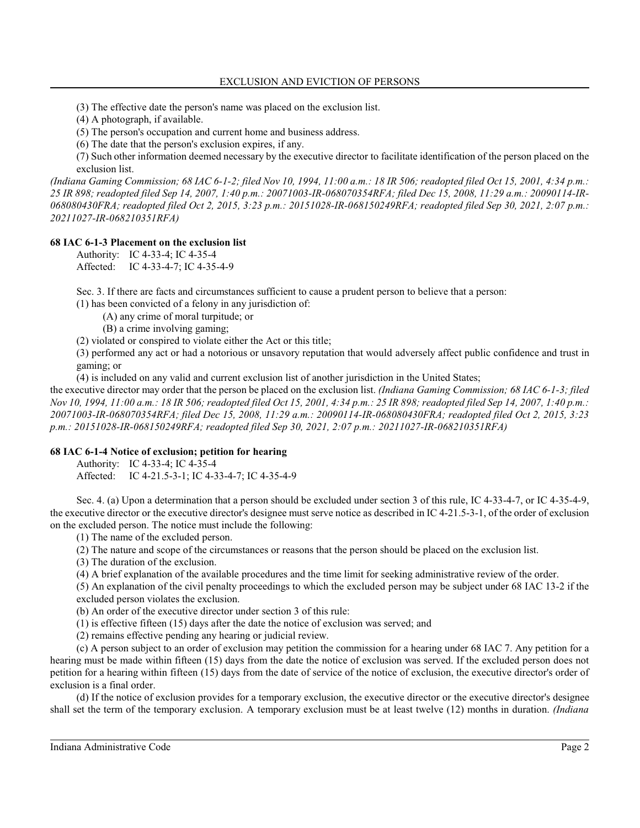(3) The effective date the person's name was placed on the exclusion list.

(4) A photograph, if available.

(5) The person's occupation and current home and business address.

(6) The date that the person's exclusion expires, if any.

(7) Such other information deemed necessary by the executive director to facilitate identification of the person placed on the exclusion list.

*(Indiana Gaming Commission; 68 IAC 6-1-2; filed Nov 10, 1994, 11:00 a.m.: 18 IR 506; readopted filed Oct 15, 2001, 4:34 p.m.: 25 IR 898; readopted filed Sep 14, 2007, 1:40 p.m.: 20071003-IR-068070354RFA; filed Dec 15, 2008, 11:29 a.m.: 20090114-IR-068080430FRA; readopted filed Oct 2, 2015, 3:23 p.m.: 20151028-IR-068150249RFA; readopted filed Sep 30, 2021, 2:07 p.m.: 20211027-IR-068210351RFA)*

### **68 IAC 6-1-3 Placement on the exclusion list**

Authority: IC 4-33-4; IC 4-35-4 Affected: IC 4-33-4-7; IC 4-35-4-9

Sec. 3. If there are facts and circumstances sufficient to cause a prudent person to believe that a person:

(1) has been convicted of a felony in any jurisdiction of:

(A) any crime of moral turpitude; or

(B) a crime involving gaming;

(2) violated or conspired to violate either the Act or this title;

(3) performed any act or had a notorious or unsavory reputation that would adversely affect public confidence and trust in gaming; or

(4) is included on any valid and current exclusion list of another jurisdiction in the United States;

the executive director may order that the person be placed on the exclusion list. *(Indiana Gaming Commission; 68 IAC 6-1-3; filed Nov 10, 1994, 11:00 a.m.: 18 IR 506; readopted filed Oct 15, 2001, 4:34 p.m.: 25 IR 898; readopted filed Sep 14, 2007, 1:40 p.m.: 20071003-IR-068070354RFA; filed Dec 15, 2008, 11:29 a.m.: 20090114-IR-068080430FRA; readopted filed Oct 2, 2015, 3:23 p.m.: 20151028-IR-068150249RFA; readopted filed Sep 30, 2021, 2:07 p.m.: 20211027-IR-068210351RFA)*

# **68 IAC 6-1-4 Notice of exclusion; petition for hearing**

Authority: IC 4-33-4; IC 4-35-4

Affected: IC 4-21.5-3-1; IC 4-33-4-7; IC 4-35-4-9

Sec. 4. (a) Upon a determination that a person should be excluded under section 3 of this rule, IC 4-33-4-7, or IC 4-35-4-9, the executive director or the executive director's designee must serve notice as described in IC 4-21.5-3-1, of the order of exclusion on the excluded person. The notice must include the following:

(1) The name of the excluded person.

(2) The nature and scope of the circumstances or reasons that the person should be placed on the exclusion list.

(3) The duration of the exclusion.

(4) A brief explanation of the available procedures and the time limit for seeking administrative review of the order.

(5) An explanation of the civil penalty proceedings to which the excluded person may be subject under 68 IAC 13-2 if the excluded person violates the exclusion.

(b) An order of the executive director under section 3 of this rule:

(1) is effective fifteen (15) days after the date the notice of exclusion was served; and

(2) remains effective pending any hearing or judicial review.

(c) A person subject to an order of exclusion may petition the commission for a hearing under 68 IAC 7. Any petition for a hearing must be made within fifteen (15) days from the date the notice of exclusion was served. If the excluded person does not petition for a hearing within fifteen (15) days from the date of service of the notice of exclusion, the executive director's order of exclusion is a final order.

(d) If the notice of exclusion provides for a temporary exclusion, the executive director or the executive director's designee shall set the term of the temporary exclusion. A temporary exclusion must be at least twelve (12) months in duration. *(Indiana*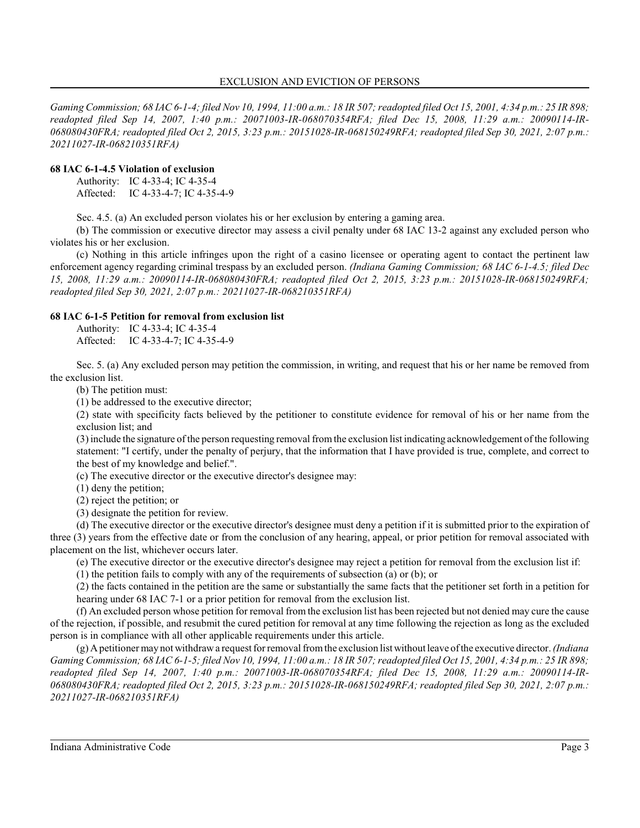*Gaming Commission; 68 IAC 6-1-4; filed Nov 10, 1994, 11:00 a.m.: 18 IR 507; readopted filed Oct 15, 2001, 4:34 p.m.: 25 IR 898; readopted filed Sep 14, 2007, 1:40 p.m.: 20071003-IR-068070354RFA; filed Dec 15, 2008, 11:29 a.m.: 20090114-IR-068080430FRA; readopted filed Oct 2, 2015, 3:23 p.m.: 20151028-IR-068150249RFA; readopted filed Sep 30, 2021, 2:07 p.m.: 20211027-IR-068210351RFA)*

# **68 IAC 6-1-4.5 Violation of exclusion**

Authority: IC 4-33-4; IC 4-35-4 Affected: IC 4-33-4-7; IC 4-35-4-9

Sec. 4.5. (a) An excluded person violates his or her exclusion by entering a gaming area.

(b) The commission or executive director may assess a civil penalty under 68 IAC 13-2 against any excluded person who violates his or her exclusion.

(c) Nothing in this article infringes upon the right of a casino licensee or operating agent to contact the pertinent law enforcement agency regarding criminal trespass by an excluded person. *(Indiana Gaming Commission; 68 IAC 6-1-4.5; filed Dec 15, 2008, 11:29 a.m.: 20090114-IR-068080430FRA; readopted filed Oct 2, 2015, 3:23 p.m.: 20151028-IR-068150249RFA; readopted filed Sep 30, 2021, 2:07 p.m.: 20211027-IR-068210351RFA)*

# **68 IAC 6-1-5 Petition for removal from exclusion list**

Authority: IC 4-33-4; IC 4-35-4 Affected: IC 4-33-4-7; IC 4-35-4-9

Sec. 5. (a) Any excluded person may petition the commission, in writing, and request that his or her name be removed from the exclusion list.

(b) The petition must:

(1) be addressed to the executive director;

(2) state with specificity facts believed by the petitioner to constitute evidence for removal of his or her name from the exclusion list; and

(3) include the signature of the person requesting removal fromthe exclusion list indicating acknowledgement of the following statement: "I certify, under the penalty of perjury, that the information that I have provided is true, complete, and correct to the best of my knowledge and belief.".

(c) The executive director or the executive director's designee may:

(1) deny the petition;

(2) reject the petition; or

(3) designate the petition for review.

(d) The executive director or the executive director's designee must deny a petition if it is submitted prior to the expiration of three (3) years from the effective date or from the conclusion of any hearing, appeal, or prior petition for removal associated with placement on the list, whichever occurs later.

(e) The executive director or the executive director's designee may reject a petition for removal from the exclusion list if:

(1) the petition fails to comply with any of the requirements of subsection (a) or (b); or

(2) the facts contained in the petition are the same or substantially the same facts that the petitioner set forth in a petition for hearing under 68 IAC 7-1 or a prior petition for removal from the exclusion list.

(f) An excluded person whose petition for removal from the exclusion list has been rejected but not denied may cure the cause of the rejection, if possible, and resubmit the cured petition for removal at any time following the rejection as long as the excluded person is in compliance with all other applicable requirements under this article.

(g) Apetitioner may not withdrawa request for removal fromthe exclusion list without leave of the executive director. *(Indiana Gaming Commission;* 68 *IAC 6-1-5; filed Nov 10, 1994, 11:00 a.m.: 18 IR 507; readopted filed Oct 15, 2001, 4:34 p.m.: 25 IR 898; readopted filed Sep 14, 2007, 1:40 p.m.: 20071003-IR-068070354RFA; filed Dec 15, 2008, 11:29 a.m.: 20090114-IR-068080430FRA; readopted filed Oct 2, 2015, 3:23 p.m.: 20151028-IR-068150249RFA; readopted filed Sep 30, 2021, 2:07 p.m.: 20211027-IR-068210351RFA)*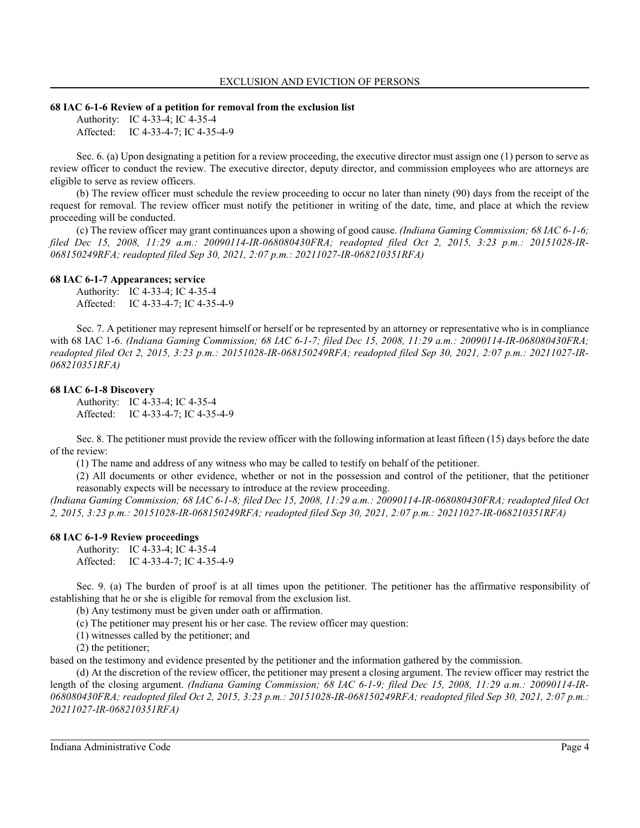#### **68 IAC 6-1-6 Review of a petition for removal from the exclusion list**

Authority: IC 4-33-4; IC 4-35-4 Affected: IC 4-33-4-7; IC 4-35-4-9

Sec. 6. (a) Upon designating a petition for a review proceeding, the executive director must assign one (1) person to serve as review officer to conduct the review. The executive director, deputy director, and commission employees who are attorneys are eligible to serve as review officers.

(b) The review officer must schedule the review proceeding to occur no later than ninety (90) days from the receipt of the request for removal. The review officer must notify the petitioner in writing of the date, time, and place at which the review proceeding will be conducted.

(c) The review officer may grant continuances upon a showing of good cause. *(Indiana Gaming Commission; 68 IAC 6-1-6; filed Dec 15, 2008, 11:29 a.m.: 20090114-IR-068080430FRA; readopted filed Oct 2, 2015, 3:23 p.m.: 20151028-IR-068150249RFA; readopted filed Sep 30, 2021, 2:07 p.m.: 20211027-IR-068210351RFA)*

#### **68 IAC 6-1-7 Appearances; service**

Authority: IC 4-33-4; IC 4-35-4 Affected: IC 4-33-4-7; IC 4-35-4-9

Sec. 7. A petitioner may represent himself or herself or be represented by an attorney or representative who is in compliance with 68 IAC 1-6. *(Indiana Gaming Commission; 68 IAC 6-1-7; filed Dec 15, 2008, 11:29 a.m.: 20090114-IR-068080430FRA; readopted filed Oct 2, 2015, 3:23 p.m.: 20151028-IR-068150249RFA; readopted filed Sep 30, 2021, 2:07 p.m.: 20211027-IR-068210351RFA)*

#### **68 IAC 6-1-8 Discovery**

Authority: IC 4-33-4; IC 4-35-4 Affected: IC 4-33-4-7; IC 4-35-4-9

Sec. 8. The petitioner must provide the review officer with the following information at least fifteen (15) days before the date of the review:

(1) The name and address of any witness who may be called to testify on behalf of the petitioner.

(2) All documents or other evidence, whether or not in the possession and control of the petitioner, that the petitioner reasonably expects will be necessary to introduce at the review proceeding.

*(Indiana Gaming Commission; 68 IAC 6-1-8; filed Dec 15, 2008, 11:29 a.m.: 20090114-IR-068080430FRA; readopted filed Oct 2, 2015, 3:23 p.m.: 20151028-IR-068150249RFA; readopted filed Sep 30, 2021, 2:07 p.m.: 20211027-IR-068210351RFA)*

#### **68 IAC 6-1-9 Review proceedings**

Authority: IC 4-33-4; IC 4-35-4 Affected: IC 4-33-4-7; IC 4-35-4-9

Sec. 9. (a) The burden of proof is at all times upon the petitioner. The petitioner has the affirmative responsibility of establishing that he or she is eligible for removal from the exclusion list.

(b) Any testimony must be given under oath or affirmation.

(c) The petitioner may present his or her case. The review officer may question:

(1) witnesses called by the petitioner; and

(2) the petitioner;

based on the testimony and evidence presented by the petitioner and the information gathered by the commission.

(d) At the discretion of the review officer, the petitioner may present a closing argument. The review officer may restrict the length of the closing argument. *(Indiana Gaming Commission; 68 IAC 6-1-9; filed Dec 15, 2008, 11:29 a.m.: 20090114-IR-068080430FRA; readopted filed Oct 2, 2015, 3:23 p.m.: 20151028-IR-068150249RFA; readopted filed Sep 30, 2021, 2:07 p.m.: 20211027-IR-068210351RFA)*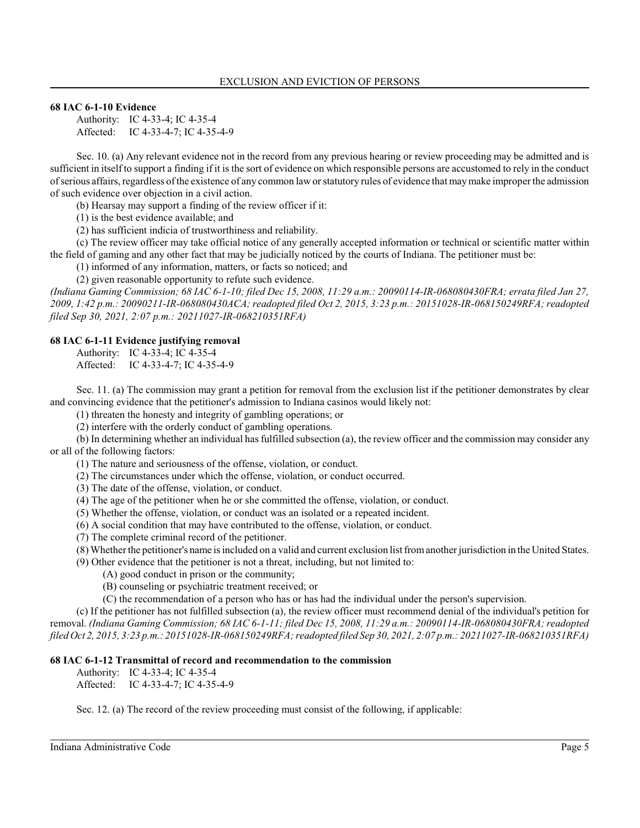# **68 IAC 6-1-10 Evidence**

Authority: IC 4-33-4; IC 4-35-4 Affected: IC 4-33-4-7; IC 4-35-4-9

Sec. 10. (a) Any relevant evidence not in the record from any previous hearing or review proceeding may be admitted and is sufficient in itself to support a finding if it is the sort of evidence on which responsible persons are accustomed to rely in the conduct of serious affairs, regardless of the existence of any common law orstatutory rules of evidence that maymake improper the admission of such evidence over objection in a civil action.

(b) Hearsay may support a finding of the review officer if it:

(1) is the best evidence available; and

(2) has sufficient indicia of trustworthiness and reliability.

(c) The review officer may take official notice of any generally accepted information or technical or scientific matter within the field of gaming and any other fact that may be judicially noticed by the courts of Indiana. The petitioner must be:

(1) informed of any information, matters, or facts so noticed; and

(2) given reasonable opportunity to refute such evidence.

*(Indiana Gaming Commission; 68 IAC 6-1-10; filed Dec 15, 2008, 11:29 a.m.: 20090114-IR-068080430FRA; errata filed Jan 27, 2009, 1:42 p.m.: 20090211-IR-068080430ACA; readopted filed Oct 2, 2015, 3:23 p.m.: 20151028-IR-068150249RFA; readopted filed Sep 30, 2021, 2:07 p.m.: 20211027-IR-068210351RFA)*

# **68 IAC 6-1-11 Evidence justifying removal**

Authority: IC 4-33-4; IC 4-35-4

Affected: IC 4-33-4-7; IC 4-35-4-9

Sec. 11. (a) The commission may grant a petition for removal from the exclusion list if the petitioner demonstrates by clear and convincing evidence that the petitioner's admission to Indiana casinos would likely not:

(1) threaten the honesty and integrity of gambling operations; or

(2) interfere with the orderly conduct of gambling operations.

(b) In determining whether an individual has fulfilled subsection (a), the review officer and the commission may consider any or all of the following factors:

(1) The nature and seriousness of the offense, violation, or conduct.

(2) The circumstances under which the offense, violation, or conduct occurred.

(3) The date of the offense, violation, or conduct.

(4) The age of the petitioner when he or she committed the offense, violation, or conduct.

(5) Whether the offense, violation, or conduct was an isolated or a repeated incident.

(6) A social condition that may have contributed to the offense, violation, or conduct.

(7) The complete criminal record of the petitioner.

(8) Whether the petitioner's name is included on a valid and current exclusion list fromanother jurisdiction in the United States.

(9) Other evidence that the petitioner is not a threat, including, but not limited to:

(A) good conduct in prison or the community;

(B) counseling or psychiatric treatment received; or

(C) the recommendation of a person who has or has had the individual under the person's supervision.

(c) If the petitioner has not fulfilled subsection (a), the review officer must recommend denial of the individual's petition for removal. *(Indiana Gaming Commission; 68 IAC 6-1-11; filed Dec 15, 2008, 11:29 a.m.: 20090114-IR-068080430FRA; readopted filed Oct 2, 2015, 3:23 p.m.: 20151028-IR-068150249RFA; readopted filed Sep 30, 2021, 2:07 p.m.: 20211027-IR-068210351RFA)*

# **68 IAC 6-1-12 Transmittal of record and recommendation to the commission**

Authority: IC 4-33-4; IC 4-35-4

Affected: IC 4-33-4-7; IC 4-35-4-9

Sec. 12. (a) The record of the review proceeding must consist of the following, if applicable: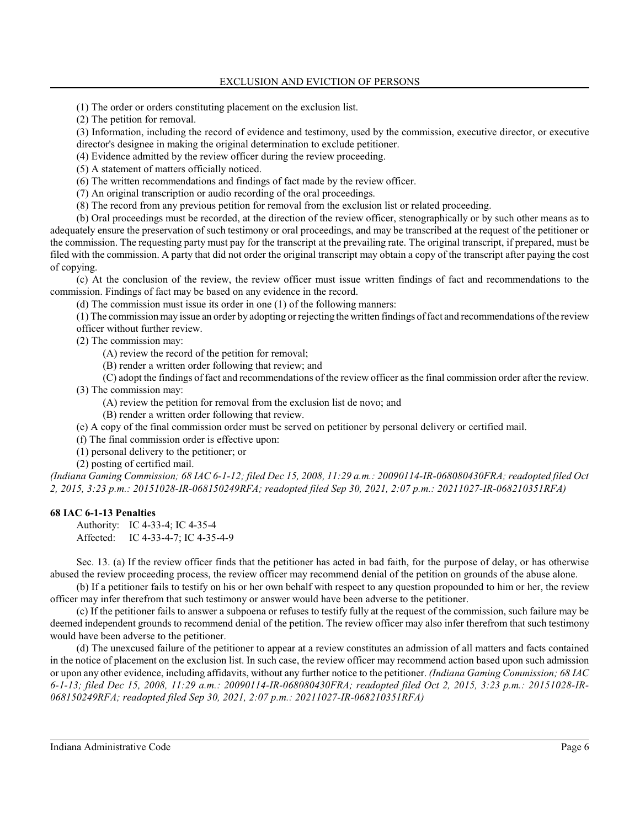(1) The order or orders constituting placement on the exclusion list.

(2) The petition for removal.

(3) Information, including the record of evidence and testimony, used by the commission, executive director, or executive director's designee in making the original determination to exclude petitioner.

(4) Evidence admitted by the review officer during the review proceeding.

(5) A statement of matters officially noticed.

(6) The written recommendations and findings of fact made by the review officer.

(7) An original transcription or audio recording of the oral proceedings.

(8) The record from any previous petition for removal from the exclusion list or related proceeding.

(b) Oral proceedings must be recorded, at the direction of the review officer, stenographically or by such other means as to adequately ensure the preservation of such testimony or oral proceedings, and may be transcribed at the request of the petitioner or the commission. The requesting party must pay for the transcript at the prevailing rate. The original transcript, if prepared, must be filed with the commission. A party that did not order the original transcript may obtain a copy of the transcript after paying the cost of copying.

(c) At the conclusion of the review, the review officer must issue written findings of fact and recommendations to the commission. Findings of fact may be based on any evidence in the record.

(d) The commission must issue its order in one (1) of the following manners:

(1) The commission may issue an order by adopting or rejecting the written findings of fact and recommendations of the review officer without further review.

(2) The commission may:

- (A) review the record of the petition for removal;
- (B) render a written order following that review; and

(C) adopt the findings of fact and recommendations of the review officer as the final commission order after the review.

(3) The commission may:

- (A) review the petition for removal from the exclusion list de novo; and
- (B) render a written order following that review.
- (e) A copy of the final commission order must be served on petitioner by personal delivery or certified mail.
- (f) The final commission order is effective upon:
- (1) personal delivery to the petitioner; or
- (2) posting of certified mail.

*(Indiana Gaming Commission; 68 IAC 6-1-12; filed Dec 15, 2008, 11:29 a.m.: 20090114-IR-068080430FRA; readopted filed Oct 2, 2015, 3:23 p.m.: 20151028-IR-068150249RFA; readopted filed Sep 30, 2021, 2:07 p.m.: 20211027-IR-068210351RFA)*

# **68 IAC 6-1-13 Penalties**

Authority: IC 4-33-4; IC 4-35-4 Affected: IC 4-33-4-7; IC 4-35-4-9

Sec. 13. (a) If the review officer finds that the petitioner has acted in bad faith, for the purpose of delay, or has otherwise abused the review proceeding process, the review officer may recommend denial of the petition on grounds of the abuse alone.

(b) If a petitioner fails to testify on his or her own behalf with respect to any question propounded to him or her, the review officer may infer therefrom that such testimony or answer would have been adverse to the petitioner.

(c) If the petitioner fails to answer a subpoena or refuses to testify fully at the request of the commission, such failure may be deemed independent grounds to recommend denial of the petition. The review officer may also infer therefrom that such testimony would have been adverse to the petitioner.

(d) The unexcused failure of the petitioner to appear at a review constitutes an admission of all matters and facts contained in the notice of placement on the exclusion list. In such case, the review officer may recommend action based upon such admission or upon any other evidence, including affidavits, without any further notice to the petitioner. *(Indiana Gaming Commission; 68 IAC 6-1-13; filed Dec 15, 2008, 11:29 a.m.: 20090114-IR-068080430FRA; readopted filed Oct 2, 2015, 3:23 p.m.: 20151028-IR-068150249RFA; readopted filed Sep 30, 2021, 2:07 p.m.: 20211027-IR-068210351RFA)*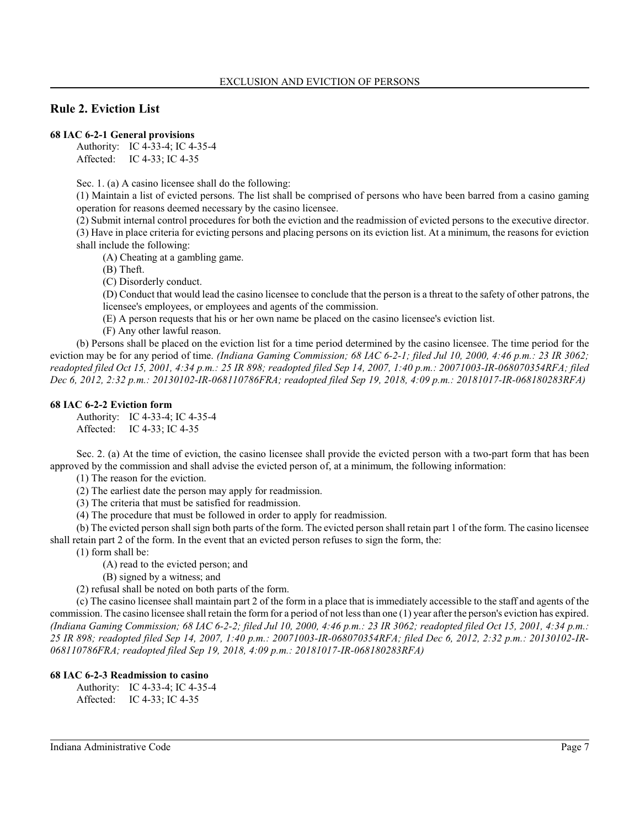# **Rule 2. Eviction List**

#### **68 IAC 6-2-1 General provisions**

Authority: IC 4-33-4; IC 4-35-4 Affected: IC 4-33; IC 4-35

Sec. 1. (a) A casino licensee shall do the following:

(1) Maintain a list of evicted persons. The list shall be comprised of persons who have been barred from a casino gaming operation for reasons deemed necessary by the casino licensee.

(2) Submit internal control procedures for both the eviction and the readmission of evicted persons to the executive director. (3) Have in place criteria for evicting persons and placing persons on its eviction list. At a minimum, the reasons for eviction shall include the following:

(A) Cheating at a gambling game.

(B) Theft.

(C) Disorderly conduct.

(D) Conduct that would lead the casino licensee to conclude that the person is a threat to the safety of other patrons, the licensee's employees, or employees and agents of the commission.

(E) A person requests that his or her own name be placed on the casino licensee's eviction list.

(F) Any other lawful reason.

(b) Persons shall be placed on the eviction list for a time period determined by the casino licensee. The time period for the eviction may be for any period of time. *(Indiana Gaming Commission; 68 IAC 6-2-1; filed Jul 10, 2000, 4:46 p.m.: 23 IR 3062; readopted filed Oct 15, 2001, 4:34 p.m.: 25 IR 898; readopted filed Sep 14, 2007, 1:40 p.m.: 20071003-IR-068070354RFA; filed Dec 6, 2012, 2:32 p.m.: 20130102-IR-068110786FRA; readopted filed Sep 19, 2018, 4:09 p.m.: 20181017-IR-068180283RFA)*

#### **68 IAC 6-2-2 Eviction form**

Authority: IC 4-33-4; IC 4-35-4 Affected: IC 4-33; IC 4-35

Sec. 2. (a) At the time of eviction, the casino licensee shall provide the evicted person with a two-part form that has been approved by the commission and shall advise the evicted person of, at a minimum, the following information:

(1) The reason for the eviction.

(2) The earliest date the person may apply for readmission.

(3) The criteria that must be satisfied for readmission.

(4) The procedure that must be followed in order to apply for readmission.

(b) The evicted person shall sign both parts of the form. The evicted person shall retain part 1 of the form. The casino licensee shall retain part 2 of the form. In the event that an evicted person refuses to sign the form, the:

(1) form shall be:

(A) read to the evicted person; and

(B) signed by a witness; and

(2) refusal shall be noted on both parts of the form.

(c) The casino licensee shall maintain part 2 of the form in a place that is immediately accessible to the staff and agents of the commission. The casino licensee shall retain the form for a period of not less than one (1) year after the person's eviction has expired. *(Indiana Gaming Commission; 68 IAC 6-2-2; filed Jul 10, 2000, 4:46 p.m.: 23 IR 3062; readopted filed Oct 15, 2001, 4:34 p.m.: 25 IR 898; readopted filed Sep 14, 2007, 1:40 p.m.: 20071003-IR-068070354RFA; filed Dec 6, 2012, 2:32 p.m.: 20130102-IR-068110786FRA; readopted filed Sep 19, 2018, 4:09 p.m.: 20181017-IR-068180283RFA)*

#### **68 IAC 6-2-3 Readmission to casino**

Authority: IC 4-33-4; IC 4-35-4 Affected: IC 4-33; IC 4-35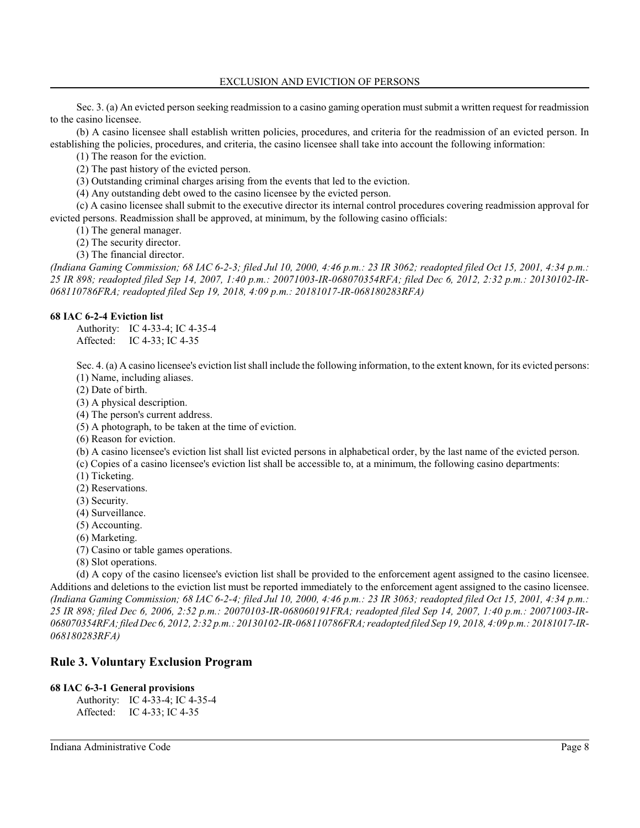Sec. 3. (a) An evicted person seeking readmission to a casino gaming operation mustsubmit a written request for readmission to the casino licensee.

(b) A casino licensee shall establish written policies, procedures, and criteria for the readmission of an evicted person. In establishing the policies, procedures, and criteria, the casino licensee shall take into account the following information:

(1) The reason for the eviction.

(2) The past history of the evicted person.

(3) Outstanding criminal charges arising from the events that led to the eviction.

(4) Any outstanding debt owed to the casino licensee by the evicted person.

(c) A casino licensee shall submit to the executive director its internal control procedures covering readmission approval for evicted persons. Readmission shall be approved, at minimum, by the following casino officials:

(1) The general manager.

(2) The security director.

(3) The financial director.

*(Indiana Gaming Commission; 68 IAC 6-2-3; filed Jul 10, 2000, 4:46 p.m.: 23 IR 3062; readopted filed Oct 15, 2001, 4:34 p.m.: 25 IR 898; readopted filed Sep 14, 2007, 1:40 p.m.: 20071003-IR-068070354RFA; filed Dec 6, 2012, 2:32 p.m.: 20130102-IR-068110786FRA; readopted filed Sep 19, 2018, 4:09 p.m.: 20181017-IR-068180283RFA)*

### **68 IAC 6-2-4 Eviction list**

Authority: IC 4-33-4; IC 4-35-4 Affected: IC 4-33; IC 4-35

Sec. 4. (a) A casino licensee's eviction list shall include the following information, to the extent known, for its evicted persons: (1) Name, including aliases.

(2) Date of birth.

(3) A physical description.

(4) The person's current address.

(5) A photograph, to be taken at the time of eviction.

(6) Reason for eviction.

(b) A casino licensee's eviction list shall list evicted persons in alphabetical order, by the last name of the evicted person.

(c) Copies of a casino licensee's eviction list shall be accessible to, at a minimum, the following casino departments:

- (1) Ticketing.
- (2) Reservations.
- (3) Security.
- (4) Surveillance.
- (5) Accounting.
- (6) Marketing.
- (7) Casino or table games operations.
- (8) Slot operations.

(d) A copy of the casino licensee's eviction list shall be provided to the enforcement agent assigned to the casino licensee. Additions and deletions to the eviction list must be reported immediately to the enforcement agent assigned to the casino licensee. *(Indiana Gaming Commission; 68 IAC 6-2-4; filed Jul 10, 2000, 4:46 p.m.: 23 IR 3063; readopted filed Oct 15, 2001, 4:34 p.m.: 25 IR 898; filed Dec 6, 2006, 2:52 p.m.: 20070103-IR-068060191FRA; readopted filed Sep 14, 2007, 1:40 p.m.: 20071003-IR-068070354RFA; filed Dec 6, 2012, 2:32 p.m.: 20130102-IR-068110786FRA; readopted filed Sep 19, 2018, 4:09 p.m.: 20181017-IR-068180283RFA)*

# **Rule 3. Voluntary Exclusion Program**

#### **68 IAC 6-3-1 General provisions**

Authority: IC 4-33-4; IC 4-35-4 Affected: IC 4-33; IC 4-35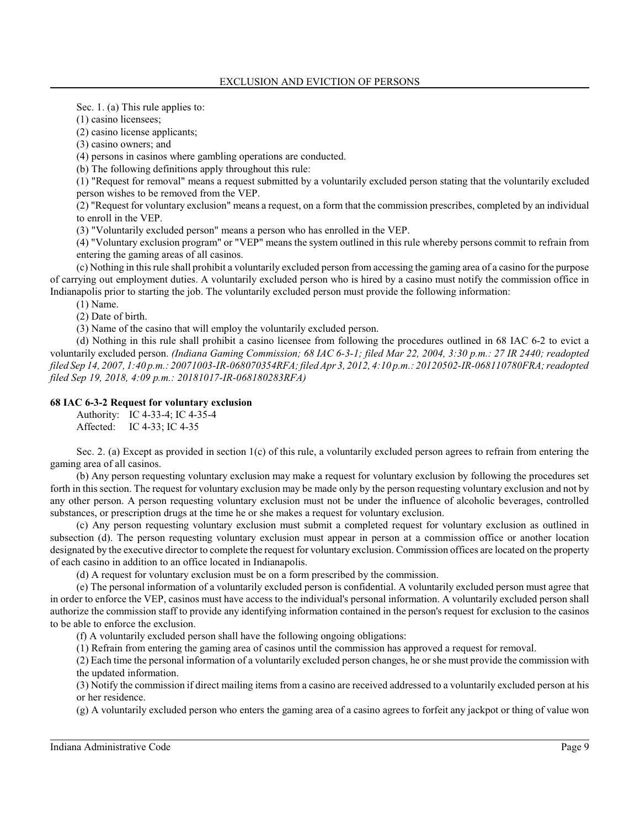Sec. 1. (a) This rule applies to:

(1) casino licensees;

(2) casino license applicants;

(3) casino owners; and

(4) persons in casinos where gambling operations are conducted.

(b) The following definitions apply throughout this rule:

(1) "Request for removal" means a request submitted by a voluntarily excluded person stating that the voluntarily excluded person wishes to be removed from the VEP.

(2) "Request for voluntary exclusion" means a request, on a form that the commission prescribes, completed by an individual to enroll in the VEP.

(3) "Voluntarily excluded person" means a person who has enrolled in the VEP.

(4) "Voluntary exclusion program" or "VEP" means the system outlined in this rule whereby persons commit to refrain from entering the gaming areas of all casinos.

(c) Nothing in thisrule shall prohibit a voluntarily excluded person from accessing the gaming area of a casino for the purpose of carrying out employment duties. A voluntarily excluded person who is hired by a casino must notify the commission office in Indianapolis prior to starting the job. The voluntarily excluded person must provide the following information:

(1) Name.

(2) Date of birth.

(3) Name of the casino that will employ the voluntarily excluded person.

(d) Nothing in this rule shall prohibit a casino licensee from following the procedures outlined in 68 IAC 6-2 to evict a voluntarily excluded person. *(Indiana Gaming Commission; 68 IAC 6-3-1; filed Mar 22, 2004, 3:30 p.m.: 27 IR 2440; readopted filed Sep 14, 2007, 1:40 p.m.: 20071003-IR-068070354RFA; filed Apr 3, 2012, 4:10 p.m.: 20120502-IR-068110780FRA; readopted filed Sep 19, 2018, 4:09 p.m.: 20181017-IR-068180283RFA)*

# **68 IAC 6-3-2 Request for voluntary exclusion**

Authority: IC 4-33-4; IC 4-35-4 Affected: IC 4-33; IC 4-35

Sec. 2. (a) Except as provided in section  $1(c)$  of this rule, a voluntarily excluded person agrees to refrain from entering the gaming area of all casinos.

(b) Any person requesting voluntary exclusion may make a request for voluntary exclusion by following the procedures set forth in thissection. The request for voluntary exclusion may be made only by the person requesting voluntary exclusion and not by any other person. A person requesting voluntary exclusion must not be under the influence of alcoholic beverages, controlled substances, or prescription drugs at the time he or she makes a request for voluntary exclusion.

(c) Any person requesting voluntary exclusion must submit a completed request for voluntary exclusion as outlined in subsection (d). The person requesting voluntary exclusion must appear in person at a commission office or another location designated by the executive director to complete the request for voluntary exclusion. Commission offices are located on the property of each casino in addition to an office located in Indianapolis.

(d) A request for voluntary exclusion must be on a form prescribed by the commission.

(e) The personal information of a voluntarily excluded person is confidential. A voluntarily excluded person must agree that in order to enforce the VEP, casinos must have access to the individual's personal information. A voluntarily excluded person shall authorize the commission staff to provide any identifying information contained in the person's request for exclusion to the casinos to be able to enforce the exclusion.

(f) A voluntarily excluded person shall have the following ongoing obligations:

(1) Refrain from entering the gaming area of casinos until the commission has approved a request for removal.

(2) Each time the personal information of a voluntarily excluded person changes, he or she must provide the commission with the updated information.

(3) Notify the commission if direct mailing items from a casino are received addressed to a voluntarily excluded person at his or her residence.

(g) A voluntarily excluded person who enters the gaming area of a casino agrees to forfeit any jackpot or thing of value won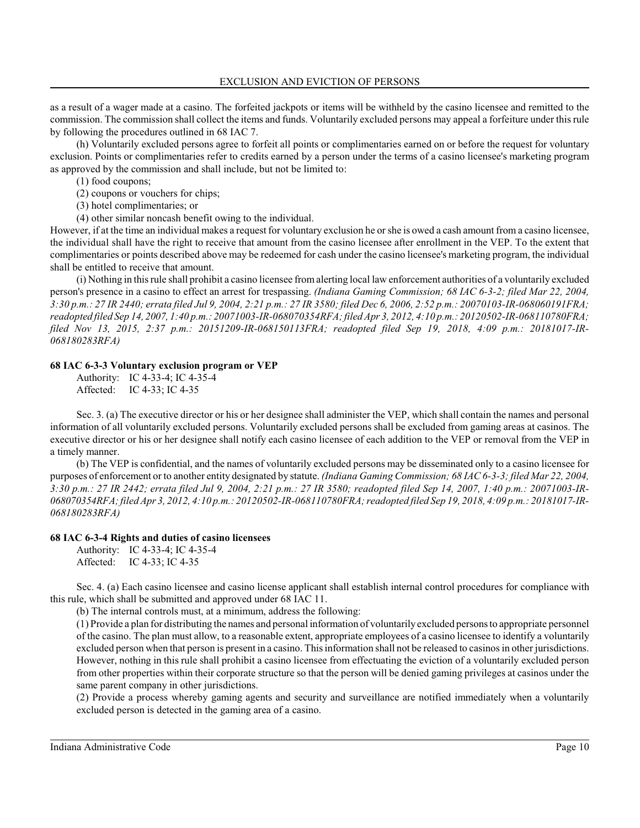as a result of a wager made at a casino. The forfeited jackpots or items will be withheld by the casino licensee and remitted to the commission. The commission shall collect the items and funds. Voluntarily excluded persons may appeal a forfeiture under thisrule by following the procedures outlined in 68 IAC 7.

(h) Voluntarily excluded persons agree to forfeit all points or complimentaries earned on or before the request for voluntary exclusion. Points or complimentaries refer to credits earned by a person under the terms of a casino licensee's marketing program as approved by the commission and shall include, but not be limited to:

(1) food coupons;

(2) coupons or vouchers for chips;

(3) hotel complimentaries; or

(4) other similar noncash benefit owing to the individual.

However, if at the time an individual makes a request for voluntary exclusion he orshe is owed a cash amount from a casino licensee, the individual shall have the right to receive that amount from the casino licensee after enrollment in the VEP. To the extent that complimentaries or points described above may be redeemed for cash under the casino licensee's marketing program, the individual shall be entitled to receive that amount.

(i) Nothing in thisrule shall prohibit a casino licensee fromalerting local law enforcement authorities of a voluntarily excluded person's presence in a casino to effect an arrest for trespassing. *(Indiana Gaming Commission; 68 IAC 6-3-2; filed Mar 22, 2004, 3:30 p.m.: 27 IR 2440; errata filed Jul 9, 2004, 2:21 p.m.: 27 IR 3580; filed Dec 6, 2006, 2:52 p.m.: 20070103-IR-068060191FRA; readopted filed Sep 14, 2007, 1:40 p.m.: 20071003-IR-068070354RFA; filed Apr 3, 2012, 4:10 p.m.: 20120502-IR-068110780FRA; filed Nov 13, 2015, 2:37 p.m.: 20151209-IR-068150113FRA; readopted filed Sep 19, 2018, 4:09 p.m.: 20181017-IR-068180283RFA)*

### **68 IAC 6-3-3 Voluntary exclusion program or VEP**

Authority: IC 4-33-4; IC 4-35-4 Affected: IC 4-33; IC 4-35

Sec. 3. (a) The executive director or his or her designee shall administer the VEP, which shall contain the names and personal information of all voluntarily excluded persons. Voluntarily excluded persons shall be excluded from gaming areas at casinos. The executive director or his or her designee shall notify each casino licensee of each addition to the VEP or removal from the VEP in a timely manner.

(b) The VEP is confidential, and the names of voluntarily excluded persons may be disseminated only to a casino licensee for purposes of enforcement or to another entity designated by statute. *(Indiana Gaming Commission; 68 IAC 6-3-3; filed Mar 22, 2004, 3:30 p.m.: 27 IR 2442; errata filed Jul 9, 2004, 2:21 p.m.: 27 IR 3580; readopted filed Sep 14, 2007, 1:40 p.m.: 20071003-IR-068070354RFA; filed Apr 3, 2012, 4:10 p.m.: 20120502-IR-068110780FRA; readopted filed Sep 19, 2018, 4:09 p.m.: 20181017-IR-068180283RFA)*

# **68 IAC 6-3-4 Rights and duties of casino licensees**

Authority: IC 4-33-4; IC 4-35-4 Affected: IC 4-33; IC 4-35

Sec. 4. (a) Each casino licensee and casino license applicant shall establish internal control procedures for compliance with this rule, which shall be submitted and approved under 68 IAC 11.

(b) The internal controls must, at a minimum, address the following:

(1) Provide a plan for distributing the names and personal information of voluntarily excluded persons to appropriate personnel of the casino. The plan must allow, to a reasonable extent, appropriate employees of a casino licensee to identify a voluntarily excluded person when that person is present in a casino. Thisinformation shall not be released to casinos in other jurisdictions. However, nothing in this rule shall prohibit a casino licensee from effectuating the eviction of a voluntarily excluded person from other properties within their corporate structure so that the person will be denied gaming privileges at casinos under the same parent company in other jurisdictions.

(2) Provide a process whereby gaming agents and security and surveillance are notified immediately when a voluntarily excluded person is detected in the gaming area of a casino.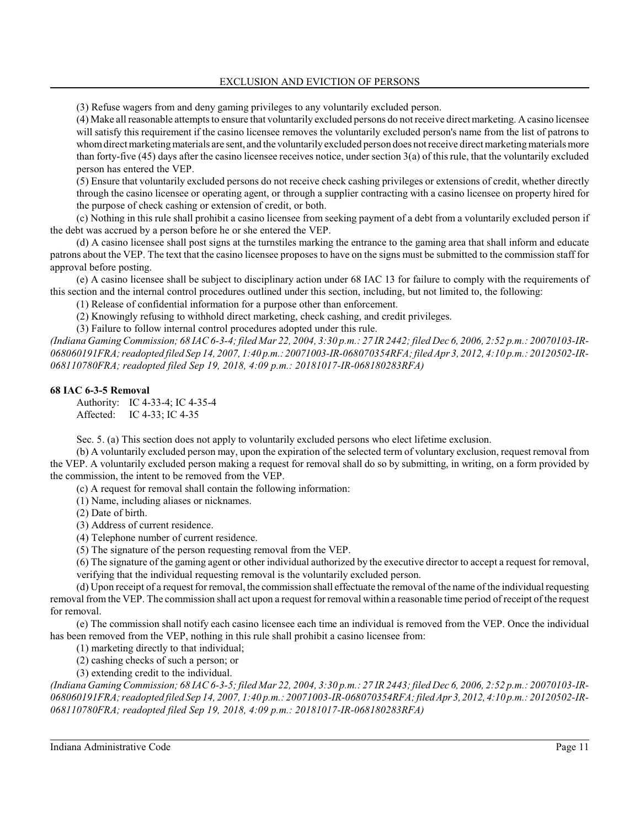(3) Refuse wagers from and deny gaming privileges to any voluntarily excluded person.

(4) Make all reasonable attempts to ensure that voluntarily excluded persons do not receive direct marketing. A casino licensee will satisfy this requirement if the casino licensee removes the voluntarily excluded person's name from the list of patrons to whom direct marketing materials are sent, and the voluntarily excluded person does not receive direct marketing materials more than forty-five  $(45)$  days after the casino licensee receives notice, under section  $3(a)$  of this rule, that the voluntarily excluded person has entered the VEP.

(5) Ensure that voluntarily excluded persons do not receive check cashing privileges or extensions of credit, whether directly through the casino licensee or operating agent, or through a supplier contracting with a casino licensee on property hired for the purpose of check cashing or extension of credit, or both.

(c) Nothing in this rule shall prohibit a casino licensee from seeking payment of a debt from a voluntarily excluded person if the debt was accrued by a person before he or she entered the VEP.

(d) A casino licensee shall post signs at the turnstiles marking the entrance to the gaming area that shall inform and educate patrons about the VEP. The text that the casino licensee proposes to have on the signs must be submitted to the commission staff for approval before posting.

(e) A casino licensee shall be subject to disciplinary action under 68 IAC 13 for failure to comply with the requirements of this section and the internal control procedures outlined under this section, including, but not limited to, the following:

(1) Release of confidential information for a purpose other than enforcement.

(2) Knowingly refusing to withhold direct marketing, check cashing, and credit privileges.

(3) Failure to follow internal control procedures adopted under this rule.

*(Indiana Gaming Commission; 68 IAC 6-3-4; filed Mar 22, 2004, 3:30 p.m.: 27 IR 2442; filed Dec 6, 2006, 2:52 p.m.: 20070103-IR-068060191FRA; readopted filed Sep 14, 2007, 1:40 p.m.: 20071003-IR-068070354RFA; filed Apr 3, 2012, 4:10 p.m.: 20120502-IR-068110780FRA; readopted filed Sep 19, 2018, 4:09 p.m.: 20181017-IR-068180283RFA)*

### **68 IAC 6-3-5 Removal**

Authority: IC 4-33-4; IC 4-35-4 Affected: IC 4-33; IC 4-35

Sec. 5. (a) This section does not apply to voluntarily excluded persons who elect lifetime exclusion.

(b) A voluntarily excluded person may, upon the expiration of the selected term of voluntary exclusion, request removal from the VEP. A voluntarily excluded person making a request for removal shall do so by submitting, in writing, on a form provided by the commission, the intent to be removed from the VEP.

(c) A request for removal shall contain the following information:

(1) Name, including aliases or nicknames.

(2) Date of birth.

(3) Address of current residence.

(4) Telephone number of current residence.

(5) The signature of the person requesting removal from the VEP.

(6) The signature of the gaming agent or other individual authorized by the executive director to accept a request for removal, verifying that the individual requesting removal is the voluntarily excluded person.

(d) Upon receipt of a request for removal, the commission shall effectuate the removal of the name of the individual requesting removal from the VEP. The commission shall act upon a request for removal within a reasonable time period of receipt of the request for removal.

(e) The commission shall notify each casino licensee each time an individual is removed from the VEP. Once the individual has been removed from the VEP, nothing in this rule shall prohibit a casino licensee from:

(1) marketing directly to that individual;

(2) cashing checks of such a person; or

(3) extending credit to the individual.

*(Indiana Gaming Commission; 68 IAC 6-3-5; filed Mar 22, 2004, 3:30 p.m.: 27 IR 2443; filed Dec 6, 2006, 2:52 p.m.: 20070103-IR-068060191FRA; readopted filed Sep 14, 2007, 1:40 p.m.: 20071003-IR-068070354RFA; filed Apr 3,2012, 4:10 p.m.: 20120502-IR-068110780FRA; readopted filed Sep 19, 2018, 4:09 p.m.: 20181017-IR-068180283RFA)*